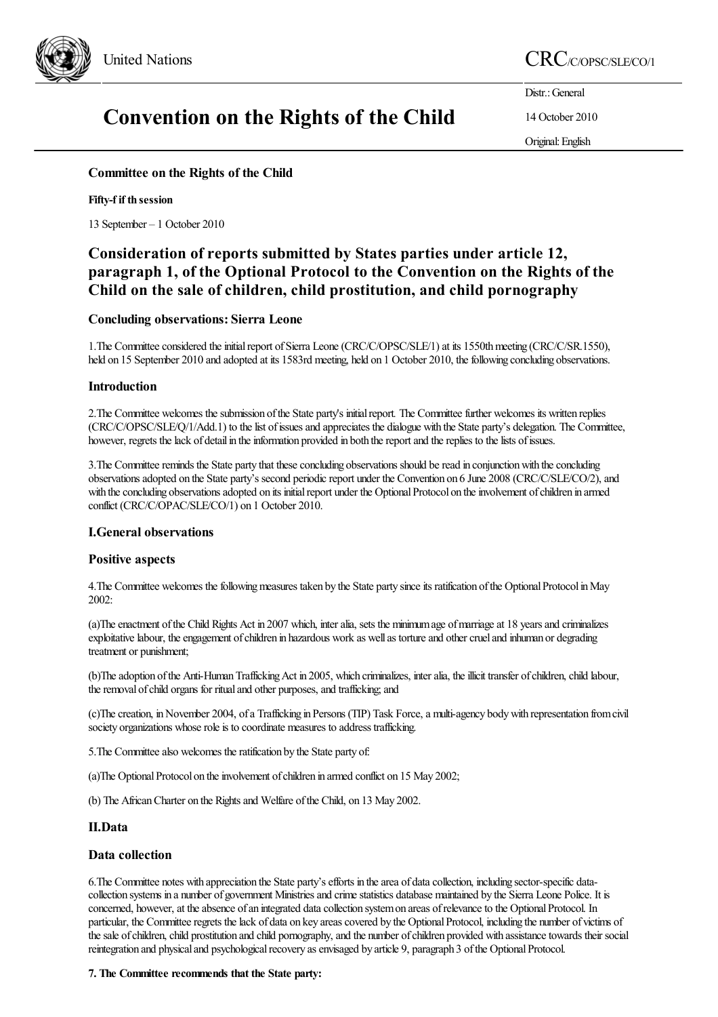

## United Nations CRC/C/OPSC/SLE/CO/1

# Convention on the Rights of the Child

Distr.: General

14 October 2010

Original:English

## Committee on the Rights of the Child

## Fifty-f if th session

13 September – 1 October 2010

## Consideration of reports submitted by States parties under article 12, paragraph 1, of the Optional Protocol to the Convention on the Rights of the Child on the sale of children, child prostitution, and child pornography

## Concluding observations: Sierra Leone

1. The Committee considered the initial report of Sierra Leone (CRC/C/OPSC/SLE/1) at its 1550th meeting (CRC/C/SR.1550), held on 15 September 2010 and adopted at its 1583rd meeting, held on 1 October 2010, the following concluding observations.

## Introduction

2. The Committee welcomes the submission of the State party's initial report. The Committee further welcomes its written replies (CRC/C/OPSC/SLE/Q/1/Add.1) to thelist ofissuesand appreciates the dialogue with the State party's delegation. The Committee, however, regrets the lack of detail in the information provided in both the report and the replies to the lists of issues.

3. The Committee reminds the State party that these concluding observations should be read in conjunction with the concluding observations adopted on the State party's second periodic report under the Convention on 6 June 2008 (CRC/C/SLE/CO/2), and with the concluding observations adopted on its initial report under the Optional Protocol on the involvement of children in armed conflict (CRC/C/OPAC/SLE/CO/1) on 1 October 2010.

## I.General observations

## Positive aspects

4. The Committee welcomes the following measures taken by the State party since its ratification of the Optional Protocol in May 2002:

(a)The enactment of the Child Rights Act in 2007 which, inter alia, sets the minimum age of marriage at 18 years and criminalizes exploitative labour, the engagement of children in hazardous work as well as torture and other cruel and inhuman or degrading treatment or punishment;

(b)The adoption of the Anti-Human Trafficking Act in 2005, which criminalizes, inter alia, the illicit transfer of children, child labour, the removal of child organs for ritual and other purposes, and trafficking; and

(c)Thecreation, inNovember 2004, ofa Trafficking in Persons (TIP) Task Force,a multi-agency bodywith representation fromcivil society organizations whose role is to coordinate measures to address trafficking.

5. The Committee also welcomes the ratification by the State party of:

(a)The Optional Protocol on the involvement of children in armed conflict on 15 May 2002;

(b) The African Charter on the Rights and Welfare of the Child, on 13 May 2002.

## II.Data

## Data collection

6. The Committee notes with appreciation the State party's efforts in the area of data collection, including sector-specific datacollection systems in a number of government Ministriesand crimestatistics database maintained by the Sierra Leone Police. It is concerned, however, at the absence of an integrated data collection system on areas of relevance to the Optional Protocol. In particular, the Committee regrets the lack of data on key areas covered by the Optional Protocol, including the number of victims of the sale of children, child prostitution and child pornography, and the number of children provided with assistance towards their social reintegration and physical and psychological recovery as envisaged by article 9, paragraph 3 of the Optional Protocol.

### 7. The Committee recommends that the State party: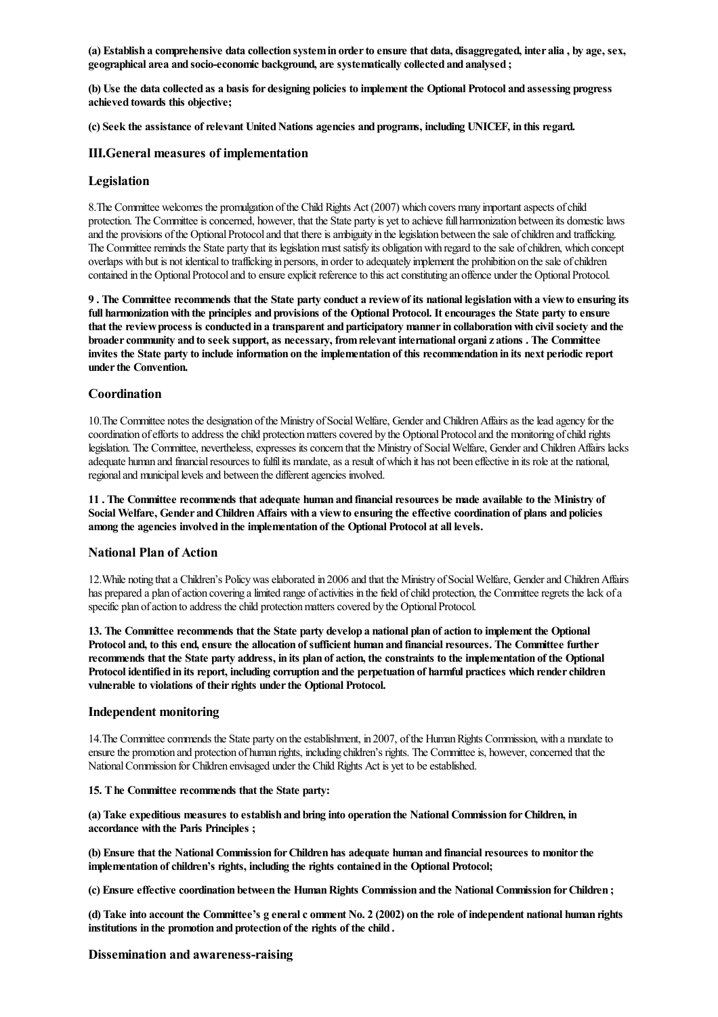(a) Establish a comprehensive data collection system in order to ensure that data, disaggregated, inter alia, by age, sex, geographical area and socio-economic background, are systematically collected and analysed ;

(b) Use the data collected as a basis for designing policies to implement the Optional Protocol and assessing progress achieved towards this objective;

(c) Seek the assistance of relevant United Nations agencies and programs, including UNICEF, in this regard.

#### III.General measures of implementation

#### Legislation

8. The Committee welcomes the promulgation of the Child Rights Act (2007) which covers many important aspects of child protection. The Committee is concerned, however, that the State party is yet to achieve full harmonization between its domestic laws and the provisions of the Optional Protocol and that there is ambiguity in the legislation between the sale of children and trafficking. The Committee reminds the State party that its legislation must satisfy its obligation with regard to the sale of children, which concept overlaps with but is not identicalto trafficking in persons, in order to adequately implement the prohibition on thesale ofchildren contained in the Optional Protocol and to ensure explicit reference to this act constituting an offence under the Optional Protocol.

9 . The Committee recommends that the State party conduct a reviewof its national legislationwith a viewto ensuring its full harmonization with the principles and provisions of the Optional Protocol. It encourages the State party to ensure that the review process is conducted in a transparent and participatory manner in collaboration with civil society and the broader community and to seek support, as necessary, from relevant international organizations. The Committee invites the State party to include information on the implementation of this recommendation in its next periodic report under the Convention.

#### **Coordination**

10. The Committee notes the designation of the Ministry of Social Welfare, Gender and Children Affairs as the lead agency for the coordination of efforts to address the child protection matters covered by the Optional Protocol and the monitoring of child rights legislation. The Committee, nevertheless, expresses its concern that the Ministry of Social Welfare, Gender and Children Affairs lacks adequate human and financial resources to fulfil its mandate, as a result of which it has not been effective in its role at the national, regional and municipal levels and between the different agencies involved.

11. The Committee recommends that adequate human and financial resources be made available to the Ministry of Social Welfare, Gender and Children Affairs with a view to ensuring the effective coordination of plans and policies among the agencies involved in the implementation of the Optional Protocol at all levels.

#### National Plan of Action

12. While noting that a Children's Policy was elaborated in 2006 and that the Ministry of Social Welfare, Gender and Children Affairs has prepared a plan of action covering a limited range of activities in the field of child protection, the Committee regrets the lack of a specific plan of action to address the child protection matters covered by the Optional Protocol.

13. The Committee recommends that the State party develop a national plan of action to implement the Optional Protocol and, to this end, ensure the allocation of sufficient human and financial resources. The Committee further recommends that the State party address, in its plan of action, the constraints to the implementation of the Optional Protocol identified in its report, including corruption and the perpetuation of harmful practices which render children vulnerable to violations of their rights under the Optional Protocol.

#### Independent monitoring

14. The Committee commends the State party on the establishment, in 2007, of the Human Rights Commission, with a mandate to ensure the promotion and protection of human rights, including children's rights. The Committee is, however, concerned that the National Commission for Children envisaged under the Child Rights Act is yet to be established.

#### 15. The Committee recommends that the State party:

(a) Take expeditious measures to establish and bring into operation the National Commission forChildren, in accordance with the Paris Principles ;

(b) Ensure that the National Commission for Children has adequate human and financial resources to monitor the implementation of children's rights, including the rights contained in the Optional Protocol;

(c) Ensure effective coordination between the Human Rights Commission and the National Commission for Children;

(d) Take into account the Committee's g eneral c omment No. 2 (2002) on the role of independent national human rights institutions in the promotion and protection of the rights of the child .

#### Dissemination and awareness-raising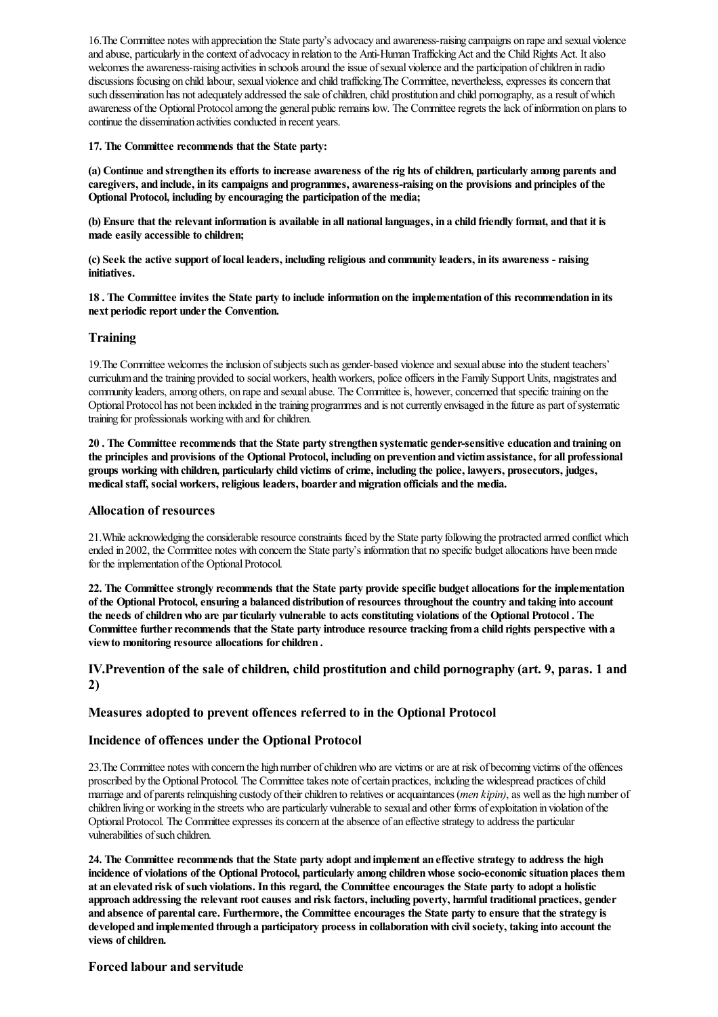16. The Committee notes with appreciation the State party's advocacy and awareness-raising campaigns on rape and sexual violence and abuse, particularly in the context of advocacy in relation to the Anti-Human Trafficking Act and the Child Rights Act. It also welcomes the awareness-raising activities in schools around the issue of sexual violence and the participation of children in radio discussions focusing on child labour, sexual violence and child trafficking. The Committee, nevertheless, expresses its concern that such dissemination has not adequately addressed the sale of children, child prostitution and child pornography, as a result of which awareness of the Optional Protocol among the general public remains low. The Committee regrets the lack of information on plans to continue the dissemination activities conducted in recent years.

17. The Committee recommends that the State party:

(a) Continue and strengthen its efforts to increase awareness of the rights of children, particularly among parents and caregivers, and include, in its campaigns and programmes, awareness-raising on the provisions and principles of the Optional Protocol, including by encouraging the participation of the media;

(b) Ensure that the relevant information is available in all national languages, in a child friendly format, and that it is made easily accessible to children;

(c) Seek the active support of local leaders, including religious and community leaders, in its awareness -raising initiatives.

18 . The Committee invites the State party to include information on the implementation of this recommendation in its next periodic report under the Convention.

## Training

19.The Committee welcomes theinclusion ofsubjects such as gender-based violenceand sexualabuseinto thestudent teachers' curriculum and the training provided to social workers, health workers, police officers in the Family Support Units, magistrates and community leaders, among others, on rape and sexual abuse. The Committee is, however, concerned that specific training on the Optional Protocol has not been included in the training programmes and is not currently envisaged in the future as part of systematic training for professionals workingwith and forchildren.

20 . The Committee recommends that the State party strengthen systematic gender-sensitive education and training on the principles and provisions of the Optional Protocol, including on prevention and victimassistance, for all professional groups working with children, particularly child victims of crime, including the police, lawyers, prosecutors, judges, medical staff, social workers, religious leaders, boarder and migration officials and the media.

### Allocation of resources

21. While acknowledging the considerable resource constraints faced by the State party following the protracted armed conflict which ended in 2002, the Committee notes with concern the State party's information that no specific budgetallocations have beenmade for the implementation of the Optional Protocol.

22. The Committee strongly recommends that the State party provide specific budget allocations forthe implementation of the Optional Protocol,ensuring a balanced distribution ofresources throughout the country and taking into account the needs of children who are par ticularly vulnerable to acts constituting violations of the Optional Protocol. The Committee further recommends that the State party introduce resource tracking from a child rights perspective with a viewto monitoring resource allocations forchildren .

## IV.Prevention of the sale of children, child prostitution and child pornography (art. 9, paras. 1 and 2)

## Measures adopted to prevent offences referred to in the Optional Protocol

### Incidence of offences under the Optional Protocol

23. The Committee notes with concern the high number of children who are victims or are at risk of becoming victims of the offences proscribed by the Optional Protocol. The Committee takes note of certain practices, including the widespread practices of child marriage and of parents relinquishing custody of their children to relatives or acquaintances (*men kipin*), as well as the high number of children living or working in the streets who are particularly vulnerable to sexual and other forms of exploitation in violation of the Optional Protocol. The Committee expresses its concern at the absence of an effective strategy to address the particular vulnerabilities of such children.

24. The Committee recommends that the State party adopt and implement an effective strategy to address the high incidence of violations of the Optional Protocol, particularly among children whose socio-economic situation places them at an elevated risk of such violations. In this regard, the Committee encourages the State party to adopt a holistic approach addressing the relevant root causes and risk factors, including poverty, harmful traditional practices, gender and absence of parental care. Furthermore, the Committee encourages the State party to ensure that the strategy is developed and implemented through a participatory process in collaboration with civil society, taking into account the views of children.

## Forced labour and servitude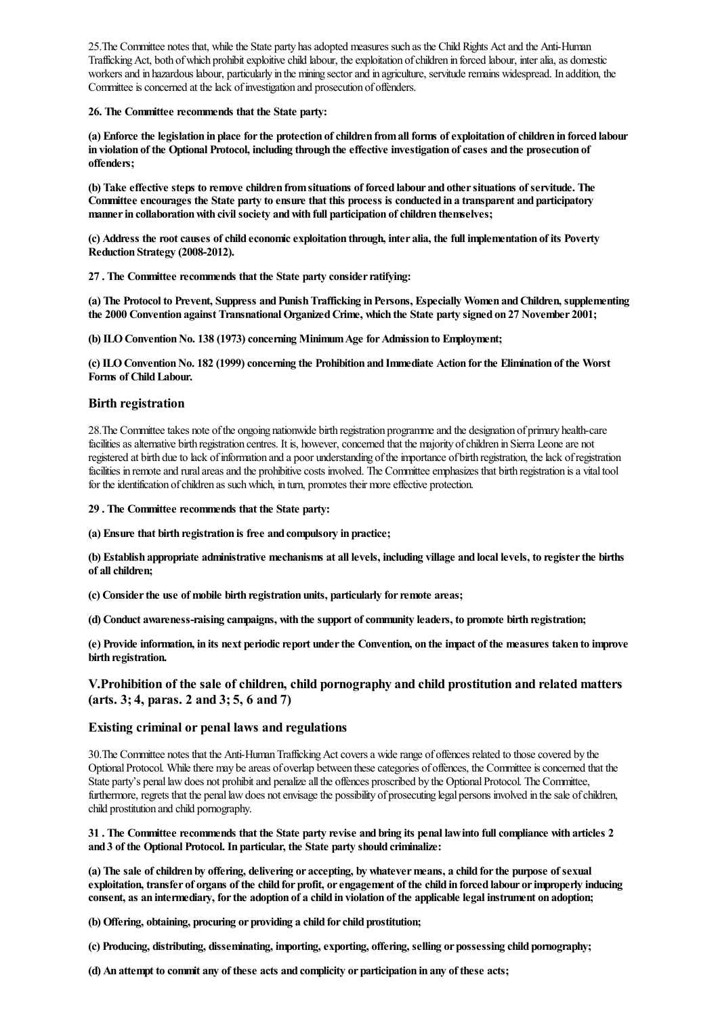25. The Committee notes that, while the State party has adopted measures such as the Child Rights Act and the Anti-Human Trafficking Act, both of which prohibit exploitive child labour, the exploitation of children in forced labour, inter alia, as domestic workers and in hazardous labour, particularly in the mining sector and in agriculture, servitude remains widespread. In addition, the Committee is concerned at the lack of investigation and prosecution of offenders.

26. The Committee recommends that the State party:

(a) Enforce the legislation in place for the protection of children from all forms of exploitation of children in forced labour in violation of the Optional Protocol, including through the effective investigation of cases and the prosecution of offenders;

(b) Take effective steps to remove children fromsituations of forced labour and othersituations of servitude. The Committee encourages the State party to ensure that this process is conducted in a transparent and participatory manner in collaboration with civil society and with full participation of children themselves;

(c) Address the rootcauses ofchild economicexploitation through, inter alia, the full implementation of its Poverty Reduction Strategy (2008-2012).

27. The Committee recommends that the State party consider ratifying:

(a) The Protocol to Prevent, Suppress and Punish Trafficking in Persons, Especially Women and Children, supplementing the 2000 Convention against Transnational Organized Crime, which the State party signed on 27 November 2001;

(b) ILO Convention No. 138 (1973) concerning Minimum Age for Admission to Employment;

(c) ILOConventionNo. 182 (1999)concerning the Prohibition and Immediate Action forthe Elimination of the Worst Forms of Child Labour.

### Birth registration

28.The Committeetakes note ofthe ongoing nationwide birth registration programmeand the designation of primary health-care facilities as alternative birth registration centres. It is, however, concerned that the majority of children in Sierra Leone are not registered at birth due to lack of information and a poor understanding of the importance of birth registration, the lack of registration facilities in remote and rural areas and the prohibitive costs involved. The Committee emphasizes that birth registration is a vital tool for the identification of children as such which, in turn, promotes their more effective protection.

29 . The Committee recommends that the State party:

(a) Ensure that birth registration is free and compulsory in practice;

(b) Establish appropriate administrative mechanisms at all levels, including village and local levels, to registerthe births of all children;

(c) Consider the use of mobile birth registration units, particularly for remote areas;

(d) Conduct awareness-raising campaigns, with the support of community leaders, to promote birth registration;

(e) Provide information, in its next periodicreport underthe Convention, on the impact of the measures taken to improve birth registration.

## V.Prohibition of the sale of children, child pornography and child prostitution and related matters (arts. 3; 4, paras. 2 and 3; 5, 6 and 7)

#### Existing criminal or penal laws and regulations

30. The Committee notes that the Anti-Human Trafficking Act covers a wide range of offences related to those covered by the Optional Protocol. While there may be areas of overlap between these categories of offences, the Committee is concerned that the State party's penal law does not prohibit and penalize all the offences proscribed by the Optional Protocol. The Committee, furthermore, regrets that the penal law does not envisage the possibility of prosecuting legal persons involved in the sale of children, child prostitution and child pornography.

#### 31 . The Committee recommends that the State party revise and bring its penal lawinto fullcompliance with articles 2 and 3 of the Optional Protocol. In particular, the State party should criminalize:

(a) The sale ofchildren by offering, delivering or accepting, by whatevermeans, a child forthe purpose of sexual exploitation, transfer of organs of the child for profit, orengagement of the child in forced labour orimproperly inducing consent, as an intermediary, forthe adoption of a child in violation of the applicable legal instrument on adoption;

(b) Offering, obtaining, procuring or providing a child forchild prostitution;

(c) Producing, distributing, disseminating, importing, exporting, offering, selling or possessing child pornography;

(d) An attempt to commit any of these acts and complicity or participation in any of these acts;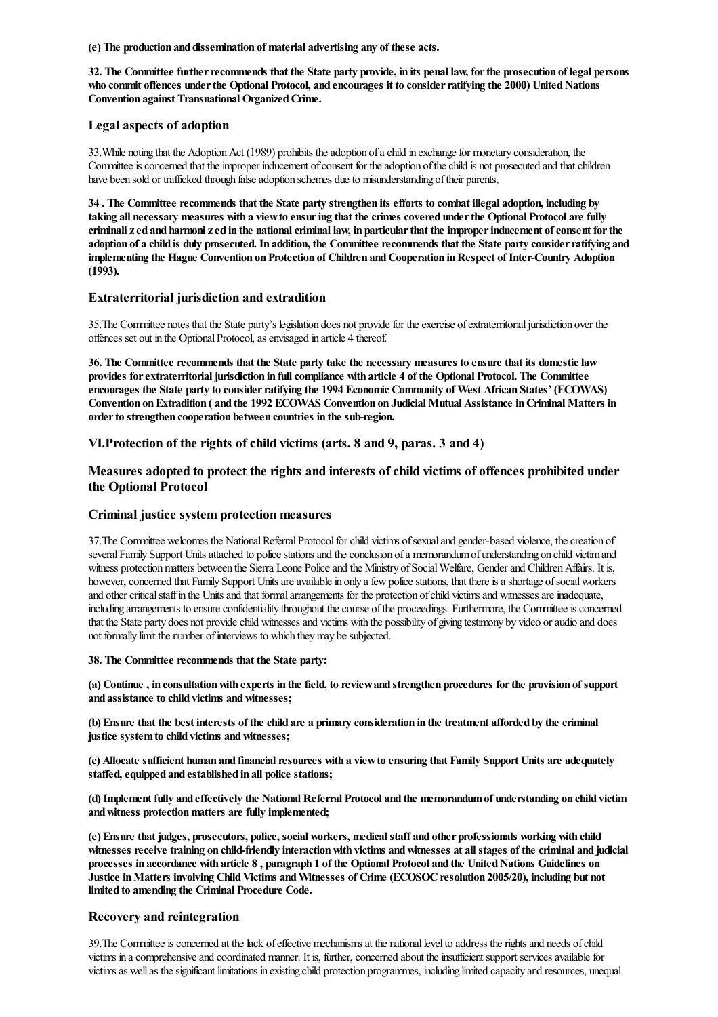(e) The production and dissemination of material advertising any of these acts.

32. The Committee further recommends that the State party provide, in its penal law, for the prosecution of legal persons who commit offences under the Optional Protocol, and encourages it to consider ratifying the 2000) United Nations Convention against Transnational Organized Crime.

## Legal aspects of adoption

33. While noting that the Adoption Act (1989) prohibits the adoption of a child in exchange for monetary consideration, the Committee is concerned that the improper inducement of consent for the adoption of the child is not prosecuted and that children have been sold or trafficked through false adoption schemes due to misunderstanding of their parents,

34 . The Committee recommends that the State party strengthen its efforts to combat illegal adoption, including by taking all necessary measures with a viewto ensuring that the crimes covered underthe Optional Protocol are fully criminali zed and harmoni zed in the national criminal law, in particular that the improper inducement of consent for the adoption of a child is duly prosecuted. In addition, the Committee recommends that the State party consider ratifying and implementing the Hague Convention on Protection of Children and Cooperation in Respect of Inter-Country Adoption  $(1993)$ .

## Extraterritorial jurisdiction and extradition

35. The Committee notes that the State party's legislation does not provide for the exercise of extraterritorial jurisdiction over the offences set out in the Optional Protocol, as envisaged in article 4 thereof.

36. The Committee recommends that the State party take the necessary measures to ensure that its domesticlaw provides for extraterritorial jurisdiction in full compliance with article 4 of the Optional Protocol. The Committee encourages the State party to consider ratifying the 1994 Economic Community of West African States' (ECOWAS) Convention onExtradition ( and the 1992 ECOWAS Convention on Judicial Mutual Assistance inCriminal Matters in order to strengthen cooperation between countries in the sub-region.

## VI.Protection of the rights of child victims (arts. 8 and 9, paras. 3 and 4)

Measures adopted to protect the rights and interests of child victims of offences prohibited under the Optional Protocol

## Criminal justice system protection measures

37. The Committee welcomes the National Referral Protocol for child victims of sexual and gender-based violence, the creation of several Family Support Units attached to police stations and the conclusion of a memorandum of understanding on child victim and witness protection matters between the Sierra Leone Police and the Ministry of Social Welfare, Gender and Children Affairs. It is, however, concerned that Family Support Units are available in only a few police stations, that there is a shortage of social workers and other critical staff in the Units and that formal arrangements for the protection of child victims and witnesses are inadequate, including arrangements to ensure confidentiality throughout the course of the proceedings. Furthermore, the Committee is concerned that the State party does not provide child witnesses and victims with the possibility of giving testimony by video or audio and does not formally limit the number of interviews to which they may be subjected.

### 38. The Committee recommends that the State party:

(a) Continue , in consultation with experts in the field, to review and strengthen procedures for the provision of support and assistance to child victims and witnesses;

(b) Ensure that the best interests of the child are a primary consideration in the treatment afforded by the criminal justice system to child victims and witnesses;

(c) Allocate sufficient human and financial resources with a view to ensuring that Family Support Units are adequately staffed, equipped and established in all police stations;

(d) Implement fully and effectively the National Referral Protocol and the memorandumof understanding on child victim and witness protection matters are fully implemented;

(e) Ensure that judges, prosecutors, police, social workers, medicalstaff and other professionals working with child witnesses receive training on child-friendly interaction with victims and witnesses at all stages of the criminal and judicial processes in accordance with article 8, paragraph 1 of the Optional Protocol and the United Nations Guidelines on Justice in Matters involving Child Victims and Witnesses of Crime (ECOSOC resolution 2005/20), including but not limited to amending the Criminal Procedure Code.

## Recovery and reintegration

39. The Committee is concerned at the lack of effective mechanisms at the national level to address the rights and needs of child victims in a comprehensive and coordinated manner. It is, further, concerned about the insufficient support services available for victimsas wellas thesignificant limitations in existing child protection programmes, including limited capacity and resources, unequal